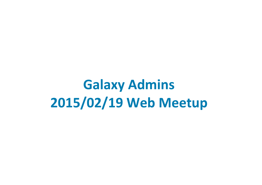**Galaxy Admins 2015/02/19 Web Meetup**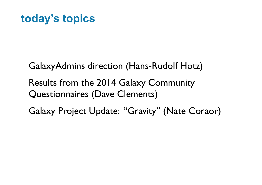### **today's topics**

GalaxyAdmins direction (Hans-Rudolf Hotz)

Results from the 2014 Galaxy Community Questionnaires (Dave Clements)

Galaxy Project Update: "Gravity" (Nate Coraor)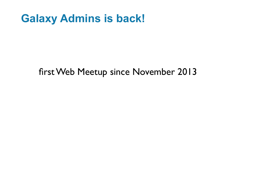### **Galaxy Admins is back!**

#### first Web Meetup since November 2013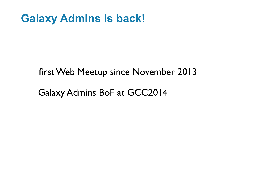### **Galaxy Admins is back!**

#### first Web Meetup since November 2013

#### Galaxy Admins BoF at GCC2014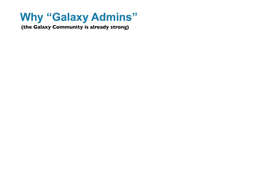## **Why "Galaxy Admins"**

**(the Galaxy Community is already strong)**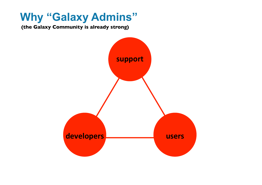#### **Why "Galaxy Admins"**

**(the Galaxy Community is already strong)**

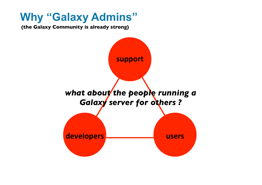#### **Why "Galaxy Admins"**

**(the Galaxy Community is already strong)**

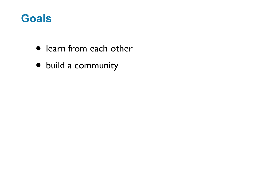#### **Goals**

- learn from each other
- build a community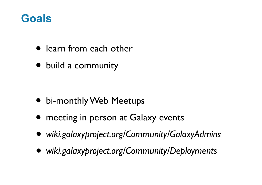#### **Goals**

- learn from each other
- build a community

- bi-monthly Web Meetups
- meeting in person at Galaxy events
- *• wiki.galaxyproject.org/Community/GalaxyAdmins*
- *• wiki.galaxyproject.org/Community/Deployments*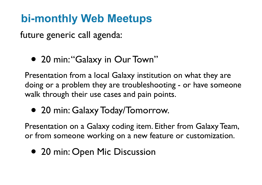# **bi-monthly Web Meetups**

future generic call agenda:

• 20 min: "Galaxy in Our Town"

Presentation from a local Galaxy institution on what they are doing or a problem they are troubleshooting - or have someone walk through their use cases and pain points.

• 20 min: Galaxy Today/Tomorrow.

Presentation on a Galaxy coding item. Either from Galaxy Team, or from someone working on a new feature or customization.

• 20 min: Open Mic Discussion